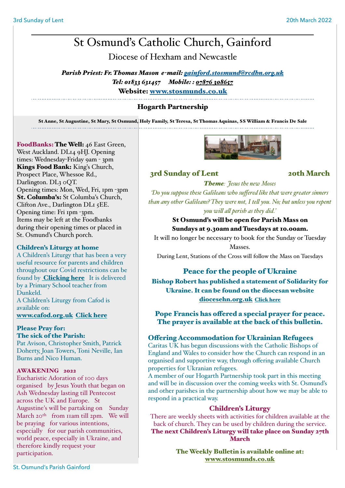# St Osmund's Catholic Church, Gainford

Diocese of Hexham and Newcastle

*Parish Priest: Fr. Thomas Mason e-mail: [gainford.stosmund@rcdhn.org.uk](mailto:gainford.stosmunds@rcdhn.org.uk) Tel: 01833 631457 Mobile: : [07876 308657](tel:07876%20308657)* Website: [www.stosmunds.co.uk](http://www.stosmunds.co.uk)

# Hogarth Partnership

St Anne, St Augustine, St Mary, St Osmund, Holy Family, St Teresa, St Thomas Aquinas, SS William & Francis De Sale

FoodBanks: The Well: 46 East Green, West Auckland. DL14 9HJ. Opening times: Wednesday-Friday 9am - 3pm Kings Food Bank: King's Church, Prospect Place, Whessoe Rd., Darlington. DL3 oQT. Opening times: Mon, Wed, Fri, 1pm -3pm St. Columba's: St Columba's Church, Clifton Ave., Darlington DL1 5EE. Opening time: Fri 1pm -3pm. Items may be left at the Foodbanks during their opening times or placed in St. Osmund's Church porch.

# Children's Liturgy at home

A Children's Liturgy that has been a very useful resource for parents and children throughout our Covid restrictions can be found by **Clicking here** It is delivered by a Primary School teacher from Dunkeld. A Children's Liturgy from Cafod is available on: [www.cafod.org.uk](http://www.cafod.org.uk) [Click here](https://cafod.org.uk/Education/Children-s-liturgy) 

# Please Pray for: The sick of the Parish:

Pat Avison, Christopher Smith, Patrick Doherty, Joan Towers, Toni Neville, Ian Burns and Nico Human.

# AWAKENING 2022

Eucharistic Adoration of 100 days organised by Jesus Youth that began on Ash Wednesday lasting till Pentecost across the UK and Europe. St Augustine's will be partaking on Sunday March 20th from 11am till 2pm. We will be praying for various intentions, especially for our parish communities, world peace, especially in Ukraine, and therefore kindly request your participation.



# 3rd Sunday of Lent 20th March

*Theme: Jesus the new Moses* 

*'Do you suppose these Galileans who suffered like that were greater sinners than any other Galileans? They were not, I tel you. No; but unless you repent you wil al perish as they did.'* 

# St Osmund's will be open for Parish Mass on Sundays at 9.30am and Tuesdays at 10.00am.

It will no longer be necessary to book for the Sunday or Tuesday Masses.

During Lent, Stations of the Cross will follow the Mass on Tuesdays

# Peace for the people of Ukraine

Bishop Robert has published a statement of Solidarity for Ukraine. It can be found on the diocesan website [diocesehn.org.uk](http://diocesehn.org.uk) [Click here](https://diocesehn.org.uk/news/statement-of-solidarity-from-bishop-robert-byrne-on-behalf-of-the-hexham-and-newcastle-diocese-and-the-local-roman-catholic-community/)

Pope Francis has offered a special prayer for peace. The prayer is available at the back of this bulletin.

# Ofering Accommodation for Ukrainian Refugees

Caritas UK has begun discussions with the Catholic Bishops of England and Wales to consider how the Church can respond in an organised and supportive way, through offering available Church properties for Ukranian refugees.

A member of our Hogarth Partnership took part in this meeting and will be in discussion over the coming weeks with St. Osmund's and other parishes in the partnership about how we may be able to respond in a practical way.

# Children's Liturgy

There are weekly sheets with activities for children available at the back of church. They can be used by children during the service. The next Children's Liturgy will take place on Sunday 27th March

> The Weekly Bulletin is available online at: [www.stosmunds.co.uk](http://www.stosmunds.co.uk)

St. Osmund's Parish Gainford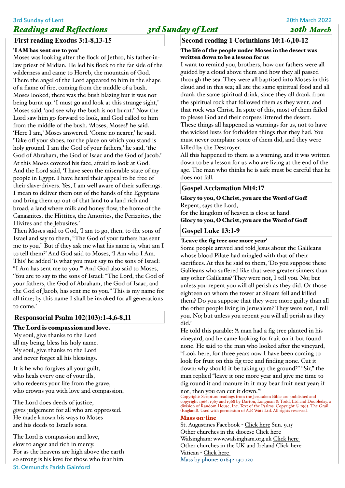# 3rd Sunday of Lent 20th March 2022

# *Readings and Reflections 3rd Sunday of Lent 20th March*

### **First reading Exodus 3:1-8,13-15**

### 'I AM has sent me to you'

Moses was looking after the flock of Jethro, his father-inlaw priest of Midian. He led his flock to the far side of the wilderness and came to Horeb, the mountain of God. There the angel of the Lord appeared to him in the shape of a flame of fire, coming from the middle of a bush. Moses looked; there was the bush blazing but it was not being burnt up. 'I must go and look at this strange sight,' Moses said, 'and see why the bush is not burnt.' Now the Lord saw him go forward to look, and God called to him from the middle of the bush. 'Moses, Moses!' he said. 'Here I am,' Moses answered. 'Come no nearer,' he said. 'Take off your shoes, for the place on which you stand is holy ground. I am the God of your fathers,' he said, 'the God of Abraham, the God of Isaac and the God of Jacob.' At this Moses covered his face, afraid to look at God. And the Lord said, 'I have seen the miserable state of my people in Egypt. I have heard their appeal to be free of their slave-drivers. Yes, I am well aware of their sufferings. I mean to deliver them out of the hands of the Egyptians and bring them up out of that land to a land rich and broad, a land where milk and honey flow, the home of the Canaanites, the Hittites, the Amorites, the Perizzites, the Hivites and the Jebusites.'

Then Moses said to God, 'I am to go, then, to the sons of Israel and say to them, "The God of your fathers has sent me to you." But if they ask me what his name is, what am I to tell them?' And God said to Moses, 'I Am who I Am. This' he added 'is what you must say to the sons of Israel: "I Am has sent me to you."' And God also said to Moses, 'You are to say to the sons of Israel: "The Lord, the God of your fathers, the God of Abraham, the God of Isaac, and the God of Jacob, has sent me to you." This is my name for all time; by this name I shall be invoked for all generations to come.'

### **Responsorial Psalm 102(103):1-4,6-8,11**

### The Lord is compassion and love.

My soul, give thanks to the Lord all my being, bless his holy name. My soul, give thanks to the Lord and never forget all his blessings.

It is he who forgives all your guilt, who heals every one of your ills, who redeems your life from the grave, who crowns you with love and compassion,

The Lord does deeds of justice, gives judgement for all who are oppressed. He made known his ways to Moses and his deeds to Israel's sons.

The Lord is compassion and love, slow to anger and rich in mercy. For as the heavens are high above the earth so strong is his love for those who fear him. St. Osmund's Parish Gainford

# **Second reading 1 Corinthians 10:1-6,10-12**

### The life of the people under Moses in the desert was written down to be a lesson for us

I want to remind you, brothers, how our fathers were all guided by a cloud above them and how they all passed through the sea. They were all baptised into Moses in this cloud and in this sea; all ate the same spiritual food and all drank the same spiritual drink, since they all drank from the spiritual rock that followed them as they went, and that rock was Christ. In spite of this, most of them failed to please God and their corpses littered the desert. These things all happened as warnings for us, not to have the wicked lusts for forbidden things that they had. You must never complain: some of them did, and they were killed by the Destroyer.

All this happened to them as a warning, and it was written down to be a lesson for us who are living at the end of the age. The man who thinks he is safe must be careful that he does not fall.

### **Gospel Acclamation Mt4:17**

Glory to you, O Christ, you are the Word of God! Repent, says the Lord, for the kingdom of heaven is close at hand.

Glory to you, O Christ, you are the Word of God!

### **Gospel Luke 13:1-9**

### 'Leave the fig tree one more year'

Some people arrived and told Jesus about the Galileans whose blood Pilate had mingled with that of their sacrifices. At this he said to them, 'Do you suppose these Galileans who suffered like that were greater sinners than any other Galileans? They were not, I tell you. No; but unless you repent you will all perish as they did. Or those eighteen on whom the tower at Siloam fell and killed them? Do you suppose that they were more guilty than all the other people living in Jerusalem? They were not, I tell you. No; but unless you repent you will all perish as they did.'

He told this parable: 'A man had a fig tree planted in his vineyard, and he came looking for fruit on it but found none. He said to the man who looked after the vineyard, "Look here, for three years now I have been coming to look for fruit on this fig tree and finding none. Cut it down: why should it be taking up the ground?" "Sir," the man replied "leave it one more year and give me time to dig round it and manure it: it may bear fruit next year; if not, then you can cut it down."'

Copyright: Scripture readings from the Jerusalem Bible are published and copyright 1966, 1967 and 1968 by Darton, Longman & Todd, Ltd and Doubleday, a division of Random House, Inc. Text of the Psalms: Copyright © 1963, The Grail (England). Used with permission of A.P. Watt Ltd. All rights reserved.

### Mass 0n-line

St. Augustines Facebook - [Click here](https://www.facebook.com/staugustineschurchdarlington/) Sun. 9.15 Other churches in the diocese [Click here](http://www.rcdhn.org.uk/index.php)  Walsingham: www.walsingham.org.uk [Click here](http://www.walsingham.org.uk)  Other churches in the UK and Ireland [Click here](https://www.churchservices.tv/whats-on-now/)  Vatican - Click here Mass by phone: 01642 130 120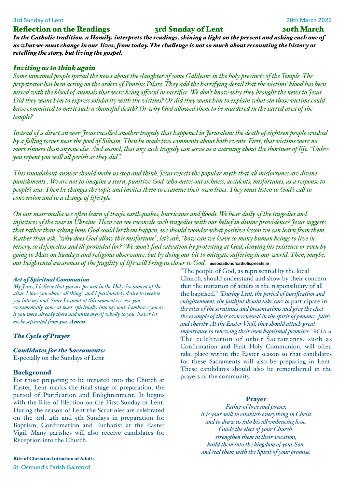# 3rd Sunday of Lent 2022

# Reflection on the Readings 3rd Sunday of Lent 20th March

*In the Catholic tradition, a Homily, interprets the readings, shining a light on the present and asking each one of us what we must change in our lives, fom today. The chalenge is not so much about recounting the history or reteling the story, but living the gospel.* 

### *Inviting us to think again*

*Some unnamed people spread the news about the slaughter of some Galileans in the holy precincts of the Temple. The perpetrator has been acting on the orders of Pontius Pilate. They add the horrifying detail that the victims' blood has been mixed with the blood of animals that were being offered in sacrifice. We don't know why they brought the news to Jesus. Did they want him to express solidarity with the victims? Or did they want him to explain what sin those victims could have committed to merit such a shameful death? Or why God alowed them to be murdered in the sacred area of the temple?*

*Instead of a direct answer, Jesus recaled another tragedy that happened in Jerusalem: the death of eighteen people crushed by a faling tower near the pool of Siloam. Then he made two comments about both events. First, that victims were no more sinners than anyone else. And second, that any such tragedy can serve as a warning about the shortness of life. "Unless you repent you wil al perish as they did".*

*This roundabout answer should make us stop and think.Jesus rejects the popular myth that al misfortunes are divine punishments.. We are not to imagine a stern, punitive God who metes out sickness, accidents, misfortunes, as a response to people's sins. Then he changes the topic and invites them to examine their own lives. They must listen to God's cal to conversion and to a change of lifestyle.*

*On our mass-media we ofen learn of tragic earthquakes, hurricanes and floods. We hear daily of the tragedies and injustices of the war in Ukraine. How can we reconcile such tragedies with our belief in divine providence? Jesus sugests that rather than asking how God could let them happen, we should wonder what positive lesson we can learn from them. Rather than ask, "why does God alow this misfortune", let's ask, "how can we leave so many human beings to live in misery, so defenceless and il-provided for?" We won't find salvation by protesting at God, denying his existence or even by going to Mass on Sundays and religious observance, but by doing our bit to mitigate suffering in our world. Then, maybe, our heightened awareness of the fagility of life wil bring us closer to God.* **associationofcatholicpriests.ie**

### *Act of Spiritual Communion*

*My Jesus, I believe that you are present in the Holy Sacrament of the altar. I love you above al things and I passionately desire to receive you into my soul. Since I cannot at this moment receive you sacramentaly, come at least spiritualy into my soul. I embrace you as if you were already there and unite myself wholy to you. Never let me be separated fom you. Amen.* 

### *The Cycle of Prayer*

# *Candidates for the Sacraments:*

Especially on the Sundays of Lent

### Background

For those preparing to be initiated into the Church at Easter, Lent marks the final stage of preparation, the period of Purification and Enlightenment. It begins with the Rite of Election on the First Sunday of Lent. During the season of Lent the Scrutinies are celebrated on the 3rd, 4th and 5th Sundays in preparation for Baptism, Confirmation and Eucharist at the Easter Vigil. Many parishes will also receive candidates for Reception into the Church.

"The people of God, as represented by the local Church, should understand and show by their concern that the initiation of adults is the responsibility of all the baptised." *"During Lent, the period of purification and enlightenment, the faithful should take care to* participate in *the rites of the scrutinies and presentations and give the elect the example of their own renewal in the spirit of penance, faith, and charity. At the Easter Vigil, they should attach great importance to renewing their own baptismal promises."* RCIA 9 The celebration of other Sacraments, such as Confirmation and First Holy Communion, will often take place within the Easter season so that candidates for these Sacraments will also be preparing in Lent. These candidates should also be remembered in the prayers of the community.

### Prayer

*Father of love and power, it is your wil to establish everything in Christ and to draw us into his al-embracing love. Guide the elect of your Church: strengthen them in their vocation, build them into the kingdom of your Son, and seal them with the Spirit of your promise.*